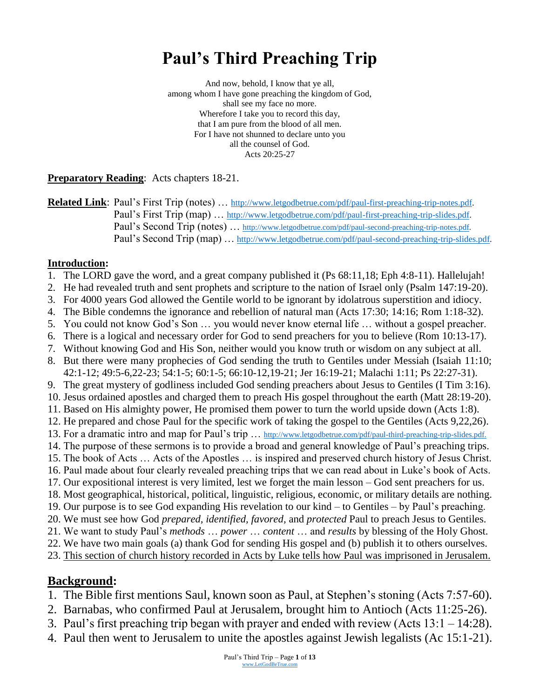# **Paul's Third Preaching Trip**

And now, behold, I know that ye all, among whom I have gone preaching the kingdom of God, shall see my face no more. Wherefore I take you to record this day, that I am pure from the blood of all men. For I have not shunned to declare unto you all the counsel of God. Acts 20:25-27

**Preparatory Reading**: Acts chapters 18-21.

**Related Link**: Paul's First Trip (notes) … [http://www.letgodbetrue.com/pdf/paul-first-preaching-trip-notes.pdf.](http://www.letgodbetrue.com/pdf/paul-first-preaching-trip-notes.pdf) Paul's First Trip (map) ... [http://www.letgodbetrue.com/pdf/paul-first-preaching-trip-slides.pdf.](http://www.letgodbetrue.com/pdf/paul-first-preaching-trip-slides.pdf) Paul's Second Trip (notes) ... [http://www.letgodbetrue.com/pdf/paul-second-preaching-trip-notes.pdf.](http://www.letgodbetrue.com/pdf/paul-second-preaching-trip-notes.pdf) Paul's Second Trip (map) … [http://www.letgodbetrue.com/pdf/paul-second-preaching-trip-slides.pdf.](http://www.letgodbetrue.com/pdf/paul-second-preaching-trip-slides.pdf)

#### **Introduction:**

- 1. The LORD gave the word, and a great company published it (Ps 68:11,18; Eph 4:8-11). Hallelujah!
- 2. He had revealed truth and sent prophets and scripture to the nation of Israel only (Psalm 147:19-20).
- 3. For 4000 years God allowed the Gentile world to be ignorant by idolatrous superstition and idiocy.
- 4. The Bible condemns the ignorance and rebellion of natural man (Acts 17:30; 14:16; Rom 1:18-32).
- 5. You could not know God's Son … you would never know eternal life … without a gospel preacher.
- 6. There is a logical and necessary order for God to send preachers for you to believe (Rom 10:13-17).
- 7. Without knowing God and His Son, neither would you know truth or wisdom on any subject at all.
- 8. But there were many prophecies of God sending the truth to Gentiles under Messiah (Isaiah 11:10; 42:1-12; 49:5-6,22-23; 54:1-5; 60:1-5; 66:10-12,19-21; Jer 16:19-21; Malachi 1:11; Ps 22:27-31).
- 9. The great mystery of godliness included God sending preachers about Jesus to Gentiles (I Tim 3:16).
- 10. Jesus ordained apostles and charged them to preach His gospel throughout the earth (Matt 28:19-20).
- 11. Based on His almighty power, He promised them power to turn the world upside down (Acts 1:8).
- 12. He prepared and chose Paul for the specific work of taking the gospel to the Gentiles (Acts 9,22,26).
- 13. For a dramatic intro and map for Paul's trip ... [http://www.letgodbetrue.com/pdf/paul-third-preaching-trip-slides.pdf.](http://www.letgodbetrue.com/pdf/paul-third-preaching-trip-slides.pdf)
- 14. The purpose of these sermons is to provide a broad and general knowledge of Paul's preaching trips.
- 15. The book of Acts … Acts of the Apostles … is inspired and preserved church history of Jesus Christ. 16. Paul made about four clearly revealed preaching trips that we can read about in Luke's book of Acts.
- 17. Our expositional interest is very limited, lest we forget the main lesson God sent preachers for us.
- 18. Most geographical, historical, political, linguistic, religious, economic, or military details are nothing.
- 19. Our purpose is to see God expanding His revelation to our kind to Gentiles by Paul's preaching.
- 20. We must see how God *prepared, identified, favored,* and *protected* Paul to preach Jesus to Gentiles.
- 21. We want to study Paul's *methods* … *power* … *content* … and *results* by blessing of the Holy Ghost.
- 22. We have two main goals (a) thank God for sending His gospel and (b) publish it to others ourselves.
- 23. This section of church history recorded in Acts by Luke tells how Paul was imprisoned in Jerusalem.

#### **Background:**

- 1. The Bible first mentions Saul, known soon as Paul, at Stephen's stoning (Acts 7:57-60).
- 2. Barnabas, who confirmed Paul at Jerusalem, brought him to Antioch (Acts 11:25-26).
- 3. Paul's first preaching trip began with prayer and ended with review (Acts 13:1 14:28).
- 4. Paul then went to Jerusalem to unite the apostles against Jewish legalists (Ac 15:1-21).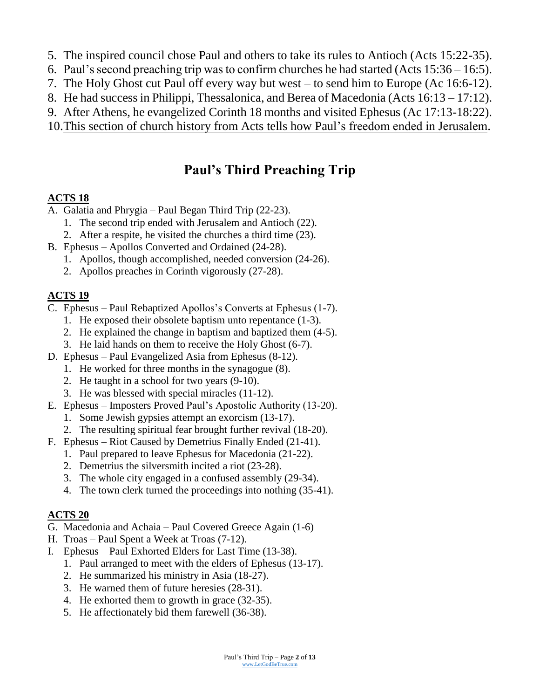- 5. The inspired council chose Paul and others to take its rules to Antioch (Acts 15:22-35).
- 6. Paul's second preaching trip was to confirm churches he had started (Acts 15:36 16:5).
- 7. The Holy Ghost cut Paul off every way but west to send him to Europe (Ac 16:6-12).
- 8. He had success in Philippi, Thessalonica, and Berea of Macedonia (Acts 16:13 17:12).
- 9. After Athens, he evangelized Corinth 18 months and visited Ephesus (Ac 17:13-18:22).
- 10.This section of church history from Acts tells how Paul's freedom ended in Jerusalem.

## **Paul's Third Preaching Trip**

#### **ACTS 18**

- A. Galatia and Phrygia Paul Began Third Trip (22-23).
	- 1. The second trip ended with Jerusalem and Antioch (22).
	- 2. After a respite, he visited the churches a third time (23).
- B. Ephesus Apollos Converted and Ordained (24-28).
	- 1. Apollos, though accomplished, needed conversion (24-26).
	- 2. Apollos preaches in Corinth vigorously (27-28).

#### **ACTS 19**

- C. Ephesus Paul Rebaptized Apollos's Converts at Ephesus (1-7).
	- 1. He exposed their obsolete baptism unto repentance (1-3).
	- 2. He explained the change in baptism and baptized them (4-5).
	- 3. He laid hands on them to receive the Holy Ghost (6-7).
- D. Ephesus Paul Evangelized Asia from Ephesus (8-12).
	- 1. He worked for three months in the synagogue (8).
	- 2. He taught in a school for two years (9-10).
	- 3. He was blessed with special miracles (11-12).
- E. Ephesus Imposters Proved Paul's Apostolic Authority (13-20).
	- 1. Some Jewish gypsies attempt an exorcism (13-17).
	- 2. The resulting spiritual fear brought further revival (18-20).
- F. Ephesus Riot Caused by Demetrius Finally Ended (21-41).
	- 1. Paul prepared to leave Ephesus for Macedonia (21-22).
	- 2. Demetrius the silversmith incited a riot (23-28).
	- 3. The whole city engaged in a confused assembly (29-34).
	- 4. The town clerk turned the proceedings into nothing (35-41).

## **ACTS 20**

- G. Macedonia and Achaia Paul Covered Greece Again (1-6)
- H. Troas Paul Spent a Week at Troas (7-12).
- I. Ephesus Paul Exhorted Elders for Last Time (13-38).
	- 1. Paul arranged to meet with the elders of Ephesus (13-17).
	- 2. He summarized his ministry in Asia (18-27).
	- 3. He warned them of future heresies (28-31).
	- 4. He exhorted them to growth in grace (32-35).
	- 5. He affectionately bid them farewell (36-38).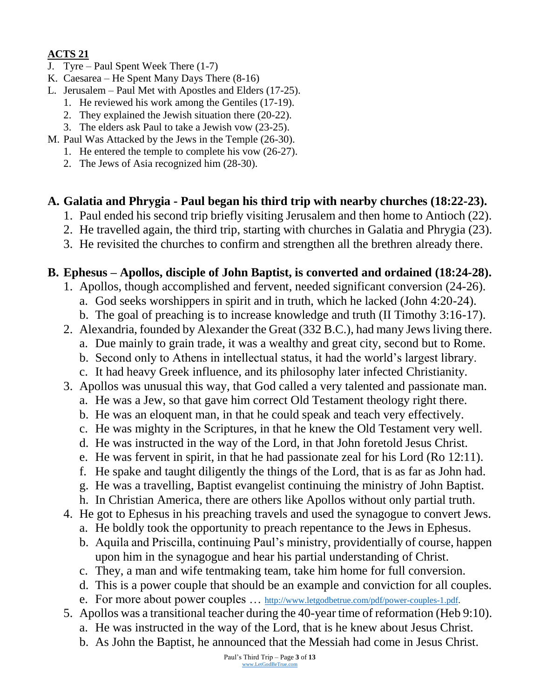#### **ACTS 21**

- J. Tyre Paul Spent Week There (1-7)
- K. Caesarea He Spent Many Days There (8-16)
- L. Jerusalem Paul Met with Apostles and Elders (17-25).
	- 1. He reviewed his work among the Gentiles (17-19).
	- 2. They explained the Jewish situation there (20-22).
	- 3. The elders ask Paul to take a Jewish vow (23-25).
- M. Paul Was Attacked by the Jews in the Temple (26-30).
	- 1. He entered the temple to complete his vow (26-27).
	- 2. The Jews of Asia recognized him (28-30).

#### **A. Galatia and Phrygia - Paul began his third trip with nearby churches (18:22-23).**

- 1. Paul ended his second trip briefly visiting Jerusalem and then home to Antioch (22).
- 2. He travelled again, the third trip, starting with churches in Galatia and Phrygia (23).
- 3. He revisited the churches to confirm and strengthen all the brethren already there.

#### **B. Ephesus – Apollos, disciple of John Baptist, is converted and ordained (18:24-28).**

- 1. Apollos, though accomplished and fervent, needed significant conversion (24-26).
	- a. God seeks worshippers in spirit and in truth, which he lacked (John 4:20-24).
	- b. The goal of preaching is to increase knowledge and truth (II Timothy 3:16-17).
- 2. Alexandria, founded by Alexander the Great (332 B.C.), had many Jews living there.
	- a. Due mainly to grain trade, it was a wealthy and great city, second but to Rome.
	- b. Second only to Athens in intellectual status, it had the world's largest library.
	- c. It had heavy Greek influence, and its philosophy later infected Christianity.
- 3. Apollos was unusual this way, that God called a very talented and passionate man.
	- a. He was a Jew, so that gave him correct Old Testament theology right there.
	- b. He was an eloquent man, in that he could speak and teach very effectively.
	- c. He was mighty in the Scriptures, in that he knew the Old Testament very well.
	- d. He was instructed in the way of the Lord, in that John foretold Jesus Christ.
	- e. He was fervent in spirit, in that he had passionate zeal for his Lord (Ro 12:11).
	- f. He spake and taught diligently the things of the Lord, that is as far as John had.
	- g. He was a travelling, Baptist evangelist continuing the ministry of John Baptist. h. In Christian America, there are others like Apollos without only partial truth.
- 4. He got to Ephesus in his preaching travels and used the synagogue to convert Jews.
	- a. He boldly took the opportunity to preach repentance to the Jews in Ephesus.
	- b. Aquila and Priscilla, continuing Paul's ministry, providentially of course, happen upon him in the synagogue and hear his partial understanding of Christ.
	- c. They, a man and wife tentmaking team, take him home for full conversion.
	- d. This is a power couple that should be an example and conviction for all couples.
	- e. For more about power couples ... [http://www.letgodbetrue.com/pdf/power-couples-1.pdf.](http://www.letgodbetrue.com/pdf/power-couples-1.pdf)
- 5. Apollos was a transitional teacher during the 40-year time of reformation (Heb 9:10).
	- a. He was instructed in the way of the Lord, that is he knew about Jesus Christ.
	- b. As John the Baptist, he announced that the Messiah had come in Jesus Christ.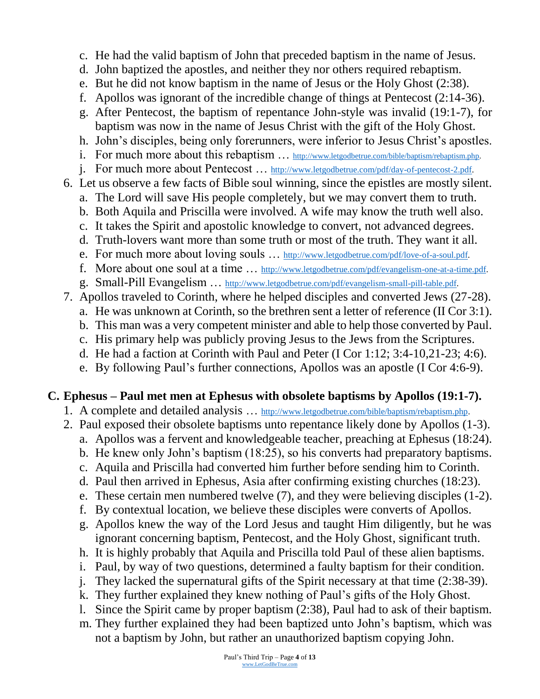- c. He had the valid baptism of John that preceded baptism in the name of Jesus.
- d. John baptized the apostles, and neither they nor others required rebaptism.
- e. But he did not know baptism in the name of Jesus or the Holy Ghost (2:38).
- f. Apollos was ignorant of the incredible change of things at Pentecost (2:14-36).
- g. After Pentecost, the baptism of repentance John-style was invalid (19:1-7), for baptism was now in the name of Jesus Christ with the gift of the Holy Ghost.
- h. John's disciples, being only forerunners, were inferior to Jesus Christ's apostles.
- i. For much more about this rebaptism ... [http://www.letgodbetrue.com/bible/baptism/rebaptism.php.](http://www.letgodbetrue.com/bible/baptism/rebaptism.php)
- j. For much more about Pentecost … [http://www.letgodbetrue.com/pdf/day-of-pentecost-2.pdf.](http://www.letgodbetrue.com/pdf/day-of-pentecost-2.pdf)
- 6. Let us observe a few facts of Bible soul winning, since the epistles are mostly silent.
	- a. The Lord will save His people completely, but we may convert them to truth.
	- b. Both Aquila and Priscilla were involved. A wife may know the truth well also.
	- c. It takes the Spirit and apostolic knowledge to convert, not advanced degrees.
	- d. Truth-lovers want more than some truth or most of the truth. They want it all.
	- e. For much more about loving souls ... [http://www.letgodbetrue.com/pdf/love-of-a-soul.pdf.](http://www.letgodbetrue.com/pdf/love-of-a-soul.pdf)
	- f. More about one soul at a time … [http://www.letgodbetrue.com/pdf/evangelism-one-at-a-time.pdf.](http://www.letgodbetrue.com/pdf/evangelism-one-at-a-time.pdf)
	- g. Small-Pill Evangelism … [http://www.letgodbetrue.com/pdf/evangelism-small-pill-table.pdf.](http://www.letgodbetrue.com/pdf/evangelism-small-pill-table.pdf)
- 7. Apollos traveled to Corinth, where he helped disciples and converted Jews (27-28).
	- a. He was unknown at Corinth, so the brethren sent a letter of reference (II Cor 3:1).
	- b. This man was a very competent minister and able to help those converted by Paul.
	- c. His primary help was publicly proving Jesus to the Jews from the Scriptures.
	- d. He had a faction at Corinth with Paul and Peter (I Cor 1:12; 3:4-10,21-23; 4:6).
	- e. By following Paul's further connections, Apollos was an apostle (I Cor 4:6-9).

## **C. Ephesus – Paul met men at Ephesus with obsolete baptisms by Apollos (19:1-7).**

- 1. A complete and detailed analysis … [http://www.letgodbetrue.com/bible/baptism/rebaptism.php.](http://www.letgodbetrue.com/bible/baptism/rebaptism.php)
- 2. Paul exposed their obsolete baptisms unto repentance likely done by Apollos (1-3).
	- a. Apollos was a fervent and knowledgeable teacher, preaching at Ephesus (18:24).
	- b. He knew only John's baptism (18:25), so his converts had preparatory baptisms.
	- c. Aquila and Priscilla had converted him further before sending him to Corinth.
	- d. Paul then arrived in Ephesus, Asia after confirming existing churches (18:23).
	- e. These certain men numbered twelve (7), and they were believing disciples (1-2).
	- f. By contextual location, we believe these disciples were converts of Apollos.
	- g. Apollos knew the way of the Lord Jesus and taught Him diligently, but he was ignorant concerning baptism, Pentecost, and the Holy Ghost, significant truth.
	- h. It is highly probably that Aquila and Priscilla told Paul of these alien baptisms.
	- i. Paul, by way of two questions, determined a faulty baptism for their condition.
	- j. They lacked the supernatural gifts of the Spirit necessary at that time (2:38-39).
	- k. They further explained they knew nothing of Paul's gifts of the Holy Ghost.
	- l. Since the Spirit came by proper baptism (2:38), Paul had to ask of their baptism.
	- m. They further explained they had been baptized unto John's baptism, which was not a baptism by John, but rather an unauthorized baptism copying John.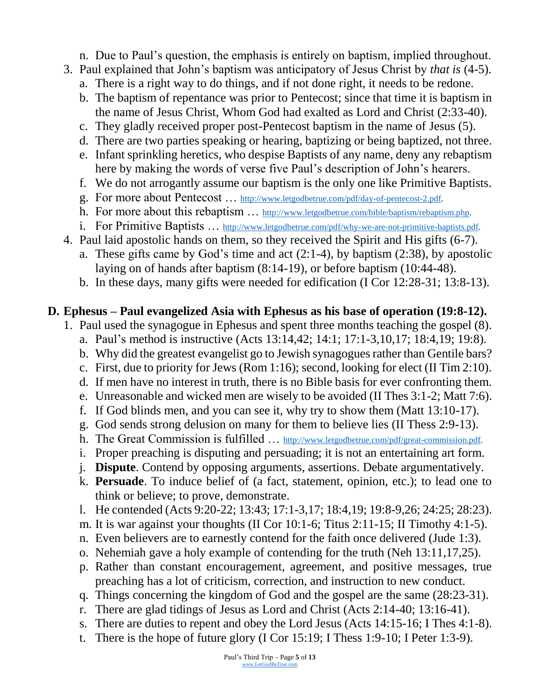- n. Due to Paul's question, the emphasis is entirely on baptism, implied throughout.
- 3. Paul explained that John's baptism was anticipatory of Jesus Christ by *that is* (4-5).
	- a. There is a right way to do things, and if not done right, it needs to be redone.
	- b. The baptism of repentance was prior to Pentecost; since that time it is baptism in the name of Jesus Christ, Whom God had exalted as Lord and Christ (2:33-40).
	- c. They gladly received proper post-Pentecost baptism in the name of Jesus (5).
	- d. There are two parties speaking or hearing, baptizing or being baptized, not three.
	- e. Infant sprinkling heretics, who despise Baptists of any name, deny any rebaptism here by making the words of verse five Paul's description of John's hearers.
	- f. We do not arrogantly assume our baptism is the only one like Primitive Baptists.
	- g. For more about Pentecost … [http://www.letgodbetrue.com/pdf/day-of-pentecost-2.pdf.](http://www.letgodbetrue.com/pdf/day-of-pentecost-2.pdf)
	- h. For more about this rebaptism ... [http://www.letgodbetrue.com/bible/baptism/rebaptism.php.](http://www.letgodbetrue.com/bible/baptism/rebaptism.php)
	- i. For Primitive Baptists ... [http://www.letgodbetrue.com/pdf/why-we-are-not-primitive-baptists.pdf.](http://www.letgodbetrue.com/pdf/why-we-are-not-primitive-baptists.pdf)
- 4. Paul laid apostolic hands on them, so they received the Spirit and His gifts (6-7).
	- a. These gifts came by God's time and act (2:1-4), by baptism (2:38), by apostolic laying on of hands after baptism (8:14-19), or before baptism (10:44-48).
	- b. In these days, many gifts were needed for edification (I Cor 12:28-31; 13:8-13).

#### **D. Ephesus – Paul evangelized Asia with Ephesus as his base of operation (19:8-12).**

- 1. Paul used the synagogue in Ephesus and spent three months teaching the gospel (8).
	- a. Paul's method is instructive (Acts 13:14,42; 14:1; 17:1-3,10,17; 18:4,19; 19:8).
	- b. Why did the greatest evangelist go to Jewish synagogues rather than Gentile bars?
	- c. First, due to priority for Jews (Rom 1:16); second, looking for elect (II Tim 2:10).
	- d. If men have no interest in truth, there is no Bible basis for ever confronting them.
	- e. Unreasonable and wicked men are wisely to be avoided (II Thes 3:1-2; Matt 7:6).
	- f. If God blinds men, and you can see it, why try to show them (Matt 13:10-17).
	- g. God sends strong delusion on many for them to believe lies (II Thess 2:9-13).
	- h. The Great Commission is fulfilled … [http://www.letgodbetrue.com/pdf/great-commission.pdf.](http://www.letgodbetrue.com/pdf/great-commission.pdf)
	- i. Proper preaching is disputing and persuading; it is not an entertaining art form.
	- j. **Dispute**. Contend by opposing arguments, assertions. Debate argumentatively.
	- k. **Persuade**. To induce belief of (a fact, statement, opinion, etc.); to lead one to think or believe; to prove, demonstrate.
	- l. He contended (Acts 9:20-22; 13:43; 17:1-3,17; 18:4,19; 19:8-9,26; 24:25; 28:23).
	- m. It is war against your thoughts (II Cor 10:1-6; Titus 2:11-15; II Timothy 4:1-5).
	- n. Even believers are to earnestly contend for the faith once delivered (Jude 1:3).
	- o. Nehemiah gave a holy example of contending for the truth (Neh 13:11,17,25).
	- p. Rather than constant encouragement, agreement, and positive messages, true preaching has a lot of criticism, correction, and instruction to new conduct.
	- q. Things concerning the kingdom of God and the gospel are the same (28:23-31).
	- r. There are glad tidings of Jesus as Lord and Christ (Acts 2:14-40; 13:16-41).
	- s. There are duties to repent and obey the Lord Jesus (Acts 14:15-16; I Thes 4:1-8).
	- t. There is the hope of future glory (I Cor 15:19; I Thess 1:9-10; I Peter 1:3-9).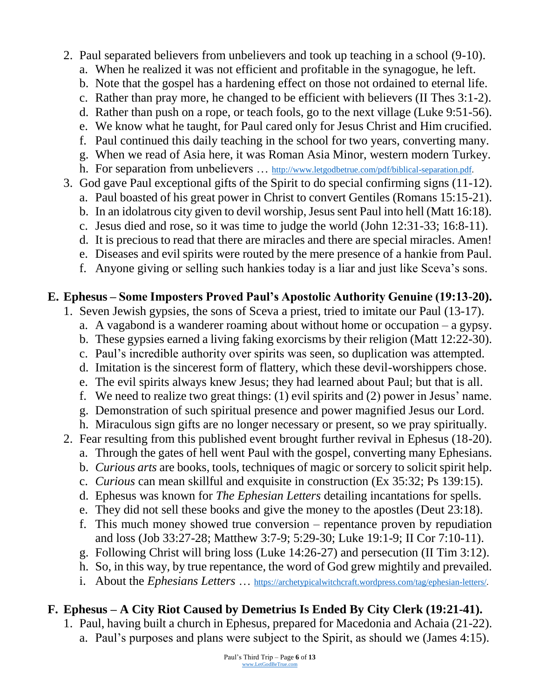- 2. Paul separated believers from unbelievers and took up teaching in a school (9-10).
	- a. When he realized it was not efficient and profitable in the synagogue, he left.
	- b. Note that the gospel has a hardening effect on those not ordained to eternal life.
	- c. Rather than pray more, he changed to be efficient with believers (II Thes 3:1-2).
	- d. Rather than push on a rope, or teach fools, go to the next village (Luke 9:51-56).
	- e. We know what he taught, for Paul cared only for Jesus Christ and Him crucified.
	- f. Paul continued this daily teaching in the school for two years, converting many.
	- g. When we read of Asia here, it was Roman Asia Minor, western modern Turkey.
	- h. For separation from unbelievers ... [http://www.letgodbetrue.com/pdf/biblical-separation.pdf.](http://www.letgodbetrue.com/pdf/biblical-separation.pdf)
- 3. God gave Paul exceptional gifts of the Spirit to do special confirming signs (11-12).
	- a. Paul boasted of his great power in Christ to convert Gentiles (Romans 15:15-21).
	- b. In an idolatrous city given to devil worship, Jesus sent Paul into hell (Matt 16:18).
	- c. Jesus died and rose, so it was time to judge the world (John 12:31-33; 16:8-11). d. It is precious to read that there are miracles and there are special miracles. Amen!
	- e. Diseases and evil spirits were routed by the mere presence of a hankie from Paul.
	- f. Anyone giving or selling such hankies today is a liar and just like Sceva's sons.

## **E. Ephesus – Some Imposters Proved Paul's Apostolic Authority Genuine (19:13-20).**

- 1. Seven Jewish gypsies, the sons of Sceva a priest, tried to imitate our Paul (13-17).
	- a. A vagabond is a wanderer roaming about without home or occupation a gypsy.
	- b. These gypsies earned a living faking exorcisms by their religion (Matt 12:22-30).
	- c. Paul's incredible authority over spirits was seen, so duplication was attempted.
	- d. Imitation is the sincerest form of flattery, which these devil-worshippers chose.
	- e. The evil spirits always knew Jesus; they had learned about Paul; but that is all.
	- f. We need to realize two great things: (1) evil spirits and (2) power in Jesus' name.
	- g. Demonstration of such spiritual presence and power magnified Jesus our Lord.
	- h. Miraculous sign gifts are no longer necessary or present, so we pray spiritually.
- 2. Fear resulting from this published event brought further revival in Ephesus (18-20).
	- a. Through the gates of hell went Paul with the gospel, converting many Ephesians.
	- b. *Curious arts* are books, tools, techniques of magic or sorcery to solicit spirit help.
	- c. *Curious* can mean skillful and exquisite in construction (Ex 35:32; Ps 139:15).
	- d. Ephesus was known for *The Ephesian Letters* detailing incantations for spells.
	- e. They did not sell these books and give the money to the apostles (Deut 23:18).
	- f. This much money showed true conversion repentance proven by repudiation and loss (Job 33:27-28; Matthew 3:7-9; 5:29-30; Luke 19:1-9; II Cor 7:10-11).
	- g. Following Christ will bring loss (Luke 14:26-27) and persecution (II Tim 3:12).
	- h. So, in this way, by true repentance, the word of God grew mightily and prevailed.
	- i. About the *Ephesians Letters* … [https://archetypicalwitchcraft.wordpress.com/tag/ephesian-letters/.](https://archetypicalwitchcraft.wordpress.com/tag/ephesian-letters/)

## **F. Ephesus – A City Riot Caused by Demetrius Is Ended By City Clerk (19:21-41).**

1. Paul, having built a church in Ephesus, prepared for Macedonia and Achaia (21-22). a. Paul's purposes and plans were subject to the Spirit, as should we (James 4:15).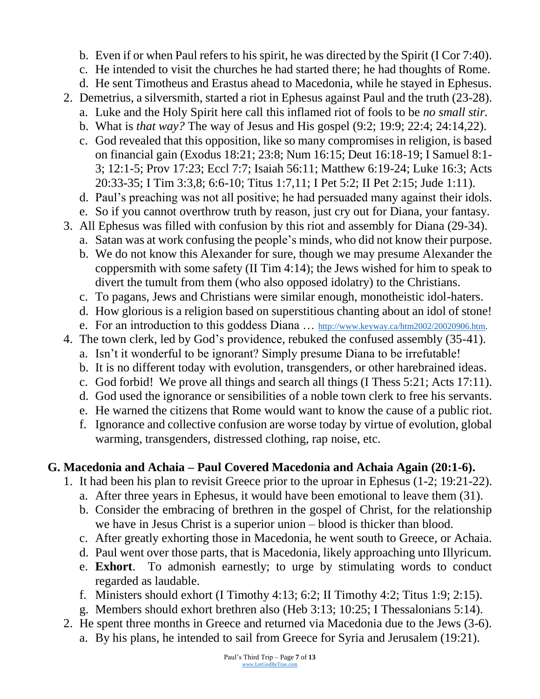- b. Even if or when Paul refers to his spirit, he was directed by the Spirit (I Cor 7:40).
- c. He intended to visit the churches he had started there; he had thoughts of Rome.
- d. He sent Timotheus and Erastus ahead to Macedonia, while he stayed in Ephesus.
- 2. Demetrius, a silversmith, started a riot in Ephesus against Paul and the truth (23-28).
	- a. Luke and the Holy Spirit here call this inflamed riot of fools to be *no small stir.*
	- b. What is *that way?* The way of Jesus and His gospel (9:2; 19:9; 22:4; 24:14,22).
	- c. God revealed that this opposition, like so many compromises in religion, is based on financial gain (Exodus 18:21; 23:8; Num 16:15; Deut 16:18-19; I Samuel 8:1- 3; 12:1-5; Prov 17:23; Eccl 7:7; Isaiah 56:11; Matthew 6:19-24; Luke 16:3; Acts 20:33-35; I Tim 3:3,8; 6:6-10; Titus 1:7,11; I Pet 5:2; II Pet 2:15; Jude 1:11).
	- d. Paul's preaching was not all positive; he had persuaded many against their idols.
	- e. So if you cannot overthrow truth by reason, just cry out for Diana, your fantasy.
- 3. All Ephesus was filled with confusion by this riot and assembly for Diana (29-34).
	- a. Satan was at work confusing the people's minds, who did not know their purpose.
	- b. We do not know this Alexander for sure, though we may presume Alexander the coppersmith with some safety (II Tim 4:14); the Jews wished for him to speak to divert the tumult from them (who also opposed idolatry) to the Christians.
	- c. To pagans, Jews and Christians were similar enough, monotheistic idol-haters.
	- d. How glorious is a religion based on superstitious chanting about an idol of stone!
	- e. For an introduction to this goddess Diana ... [http://www.keyway.ca/htm2002/20020906.htm.](http://www.keyway.ca/htm2002/20020906.htm)
- 4. The town clerk, led by God's providence, rebuked the confused assembly (35-41).
	- a. Isn't it wonderful to be ignorant? Simply presume Diana to be irrefutable!
	- b. It is no different today with evolution, transgenders, or other harebrained ideas.
	- c. God forbid! We prove all things and search all things (I Thess 5:21; Acts 17:11).
	- d. God used the ignorance or sensibilities of a noble town clerk to free his servants.
	- e. He warned the citizens that Rome would want to know the cause of a public riot.
	- f. Ignorance and collective confusion are worse today by virtue of evolution, global warming, transgenders, distressed clothing, rap noise, etc.

#### **G. Macedonia and Achaia – Paul Covered Macedonia and Achaia Again (20:1-6).**

- 1. It had been his plan to revisit Greece prior to the uproar in Ephesus (1-2; 19:21-22).
	- a. After three years in Ephesus, it would have been emotional to leave them (31).
	- b. Consider the embracing of brethren in the gospel of Christ, for the relationship we have in Jesus Christ is a superior union – blood is thicker than blood.
	- c. After greatly exhorting those in Macedonia, he went south to Greece, or Achaia.
	- d. Paul went over those parts, that is Macedonia, likely approaching unto Illyricum.
	- e. **Exhort**. To admonish earnestly; to urge by stimulating words to conduct regarded as laudable.
	- f. Ministers should exhort (I Timothy 4:13; 6:2; II Timothy 4:2; Titus 1:9; 2:15).
	- g. Members should exhort brethren also (Heb 3:13; 10:25; I Thessalonians 5:14).
- 2. He spent three months in Greece and returned via Macedonia due to the Jews (3-6). a. By his plans, he intended to sail from Greece for Syria and Jerusalem (19:21).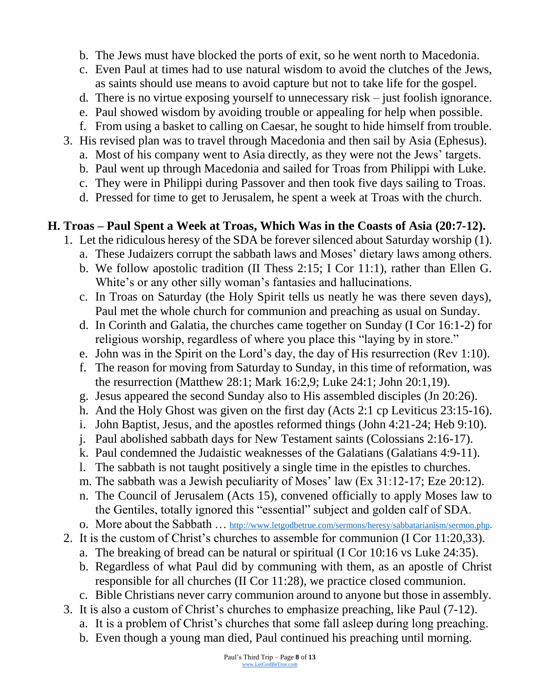- b. The Jews must have blocked the ports of exit, so he went north to Macedonia.
- c. Even Paul at times had to use natural wisdom to avoid the clutches of the Jews, as saints should use means to avoid capture but not to take life for the gospel.
- d. There is no virtue exposing yourself to unnecessary risk just foolish ignorance.
- e. Paul showed wisdom by avoiding trouble or appealing for help when possible.
- f. From using a basket to calling on Caesar, he sought to hide himself from trouble.
- 3. His revised plan was to travel through Macedonia and then sail by Asia (Ephesus).
	- a. Most of his company went to Asia directly, as they were not the Jews' targets.
	- b. Paul went up through Macedonia and sailed for Troas from Philippi with Luke.
	- c. They were in Philippi during Passover and then took five days sailing to Troas.
	- d. Pressed for time to get to Jerusalem, he spent a week at Troas with the church.

## **H. Troas – Paul Spent a Week at Troas, Which Was in the Coasts of Asia (20:7-12).**

- 1. Let the ridiculous heresy of the SDA be forever silenced about Saturday worship (1).
	- a. These Judaizers corrupt the sabbath laws and Moses' dietary laws among others.
	- b. We follow apostolic tradition (II Thess 2:15; I Cor 11:1), rather than Ellen G. White's or any other silly woman's fantasies and hallucinations.
	- c. In Troas on Saturday (the Holy Spirit tells us neatly he was there seven days), Paul met the whole church for communion and preaching as usual on Sunday.
	- d. In Corinth and Galatia, the churches came together on Sunday (I Cor 16:1-2) for religious worship, regardless of where you place this "laying by in store."
	- e. John was in the Spirit on the Lord's day, the day of His resurrection (Rev 1:10).
	- f. The reason for moving from Saturday to Sunday, in this time of reformation, was the resurrection (Matthew 28:1; Mark 16:2,9; Luke 24:1; John 20:1,19).
	- g. Jesus appeared the second Sunday also to His assembled disciples (Jn 20:26).
	- h. And the Holy Ghost was given on the first day (Acts 2:1 cp Leviticus 23:15-16).
	- i. John Baptist, Jesus, and the apostles reformed things (John 4:21-24; Heb 9:10).
	- j. Paul abolished sabbath days for New Testament saints (Colossians 2:16-17).
	- k. Paul condemned the Judaistic weaknesses of the Galatians (Galatians 4:9-11).
	- l. The sabbath is not taught positively a single time in the epistles to churches.
	- m. The sabbath was a Jewish peculiarity of Moses' law (Ex 31:12-17; Eze 20:12).
	- n. The Council of Jerusalem (Acts 15), convened officially to apply Moses law to the Gentiles, totally ignored this "essential" subject and golden calf of SDA.
	- o. More about the Sabbath ... [http://www.letgodbetrue.com/sermons/heresy/sabbatarianism/sermon.php.](http://www.letgodbetrue.com/sermons/heresy/sabbatarianism/sermon.php)
- 2. It is the custom of Christ's churches to assemble for communion (I Cor 11:20,33).
	- a. The breaking of bread can be natural or spiritual (I Cor 10:16 vs Luke 24:35).
	- b. Regardless of what Paul did by communing with them, as an apostle of Christ responsible for all churches (II Cor 11:28), we practice closed communion.
	- c. Bible Christians never carry communion around to anyone but those in assembly.
- 3. It is also a custom of Christ's churches to emphasize preaching, like Paul (7-12).
	- a. It is a problem of Christ's churches that some fall asleep during long preaching.
	- b. Even though a young man died, Paul continued his preaching until morning.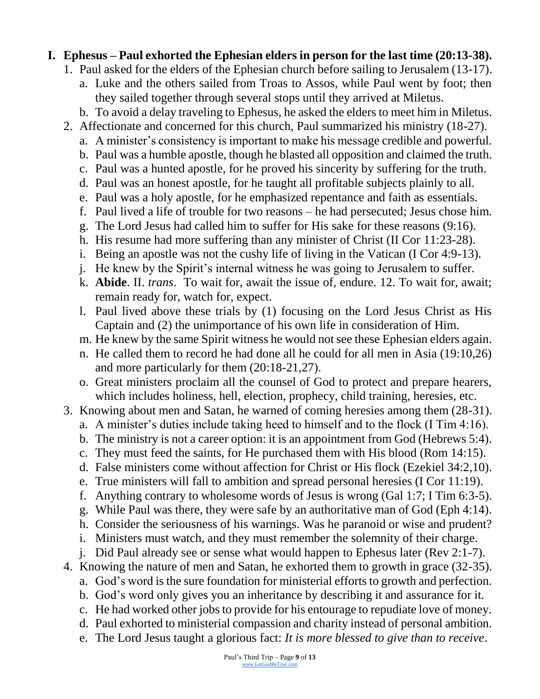## **I. Ephesus – Paul exhorted the Ephesian elders in person for the last time (20:13-38).**

- 1. Paul asked for the elders of the Ephesian church before sailing to Jerusalem (13-17).
	- a. Luke and the others sailed from Troas to Assos, while Paul went by foot; then they sailed together through several stops until they arrived at Miletus.
	- b. To avoid a delay traveling to Ephesus, he asked the elders to meet him in Miletus.
- 2. Affectionate and concerned for this church, Paul summarized his ministry (18-27).
	- a. A minister's consistency is important to make his message credible and powerful.
	- b. Paul was a humble apostle, though he blasted all opposition and claimed the truth.
	- c. Paul was a hunted apostle, for he proved his sincerity by suffering for the truth.
	- d. Paul was an honest apostle, for he taught all profitable subjects plainly to all.
	- e. Paul was a holy apostle, for he emphasized repentance and faith as essentials.
	- f. Paul lived a life of trouble for two reasons he had persecuted; Jesus chose him.
	- g. The Lord Jesus had called him to suffer for His sake for these reasons (9:16).
	- h. His resume had more suffering than any minister of Christ (II Cor 11:23-28).
	- i. Being an apostle was not the cushy life of living in the Vatican (I Cor 4:9-13).
	- j. He knew by the Spirit's internal witness he was going to Jerusalem to suffer.
	- k. **Abide**. II. *trans*. To wait for, await the issue of, endure. 12. To wait for, await; remain ready for, watch for, expect.
	- l. Paul lived above these trials by (1) focusing on the Lord Jesus Christ as His Captain and (2) the unimportance of his own life in consideration of Him.
	- m. He knew by the same Spirit witness he would not see these Ephesian elders again.
	- n. He called them to record he had done all he could for all men in Asia (19:10,26) and more particularly for them (20:18-21,27).
	- o. Great ministers proclaim all the counsel of God to protect and prepare hearers, which includes holiness, hell, election, prophecy, child training, heresies, etc.
- 3. Knowing about men and Satan, he warned of coming heresies among them (28-31).
	- a. A minister's duties include taking heed to himself and to the flock (I Tim 4:16).
	- b. The ministry is not a career option: it is an appointment from God (Hebrews 5:4).
	- c. They must feed the saints, for He purchased them with His blood (Rom 14:15).
	- d. False ministers come without affection for Christ or His flock (Ezekiel 34:2,10).
	- e. True ministers will fall to ambition and spread personal heresies (I Cor 11:19).
	- f. Anything contrary to wholesome words of Jesus is wrong (Gal 1:7; I Tim 6:3-5).
	- g. While Paul was there, they were safe by an authoritative man of God (Eph 4:14).
	- h. Consider the seriousness of his warnings. Was he paranoid or wise and prudent?
	- i. Ministers must watch, and they must remember the solemnity of their charge.
	- j. Did Paul already see or sense what would happen to Ephesus later (Rev 2:1-7).
- 4. Knowing the nature of men and Satan, he exhorted them to growth in grace (32-35).
	- a. God's word is the sure foundation for ministerial efforts to growth and perfection.
	- b. God's word only gives you an inheritance by describing it and assurance for it.
	- c. He had worked other jobs to provide for his entourage to repudiate love of money.
	- d. Paul exhorted to ministerial compassion and charity instead of personal ambition.
	- e. The Lord Jesus taught a glorious fact: *It is more blessed to give than to receive*.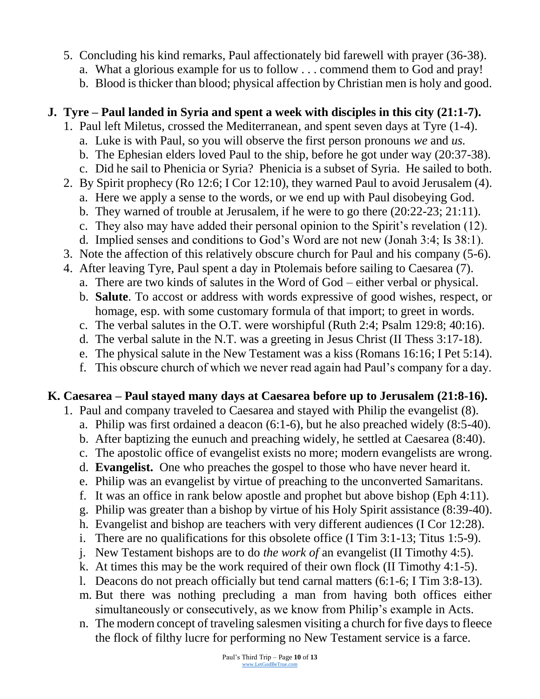- 5. Concluding his kind remarks, Paul affectionately bid farewell with prayer (36-38).
	- a. What a glorious example for us to follow . . . commend them to God and pray!
	- b. Blood is thicker than blood; physical affection by Christian men is holy and good.

#### **J. Tyre – Paul landed in Syria and spent a week with disciples in this city (21:1-7).**

- 1. Paul left Miletus, crossed the Mediterranean, and spent seven days at Tyre (1-4).
	- a. Luke is with Paul, so you will observe the first person pronouns *we* and *us.*
	- b. The Ephesian elders loved Paul to the ship, before he got under way (20:37-38).
	- c. Did he sail to Phenicia or Syria? Phenicia is a subset of Syria. He sailed to both.
- 2. By Spirit prophecy (Ro 12:6; I Cor 12:10), they warned Paul to avoid Jerusalem (4).
	- a. Here we apply a sense to the words, or we end up with Paul disobeying God.
	- b. They warned of trouble at Jerusalem, if he were to go there (20:22-23; 21:11).
	- c. They also may have added their personal opinion to the Spirit's revelation (12).
	- d. Implied senses and conditions to God's Word are not new (Jonah 3:4; Is 38:1).
- 3. Note the affection of this relatively obscure church for Paul and his company (5-6).
- 4. After leaving Tyre, Paul spent a day in Ptolemais before sailing to Caesarea (7).
	- a. There are two kinds of salutes in the Word of God either verbal or physical.
	- b. **Salute**. To accost or address with words expressive of good wishes, respect, or homage, esp. with some customary formula of that import; to greet in words.
	- c. The verbal salutes in the O.T. were worshipful (Ruth 2:4; Psalm 129:8; 40:16).
	- d. The verbal salute in the N.T. was a greeting in Jesus Christ (II Thess 3:17-18).
	- e. The physical salute in the New Testament was a kiss (Romans 16:16; I Pet 5:14).
	- f. This obscure church of which we never read again had Paul's company for a day.

#### **K. Caesarea – Paul stayed many days at Caesarea before up to Jerusalem (21:8-16).**

- 1. Paul and company traveled to Caesarea and stayed with Philip the evangelist (8).
	- a. Philip was first ordained a deacon (6:1-6), but he also preached widely (8:5-40).
	- b. After baptizing the eunuch and preaching widely, he settled at Caesarea (8:40).
	- c. The apostolic office of evangelist exists no more; modern evangelists are wrong.
	- d. **Evangelist.** One who preaches the gospel to those who have never heard it.
	- e. Philip was an evangelist by virtue of preaching to the unconverted Samaritans.
	- f. It was an office in rank below apostle and prophet but above bishop (Eph 4:11).
	- g. Philip was greater than a bishop by virtue of his Holy Spirit assistance (8:39-40).
	- h. Evangelist and bishop are teachers with very different audiences (I Cor 12:28).
	- i. There are no qualifications for this obsolete office (I Tim 3:1-13; Titus 1:5-9).
	- j. New Testament bishops are to do *the work of* an evangelist (II Timothy 4:5).
	- k. At times this may be the work required of their own flock (II Timothy 4:1-5).
	- l. Deacons do not preach officially but tend carnal matters (6:1-6; I Tim 3:8-13).
	- m. But there was nothing precluding a man from having both offices either simultaneously or consecutively, as we know from Philip's example in Acts.
	- n. The modern concept of traveling salesmen visiting a church for five days to fleece the flock of filthy lucre for performing no New Testament service is a farce.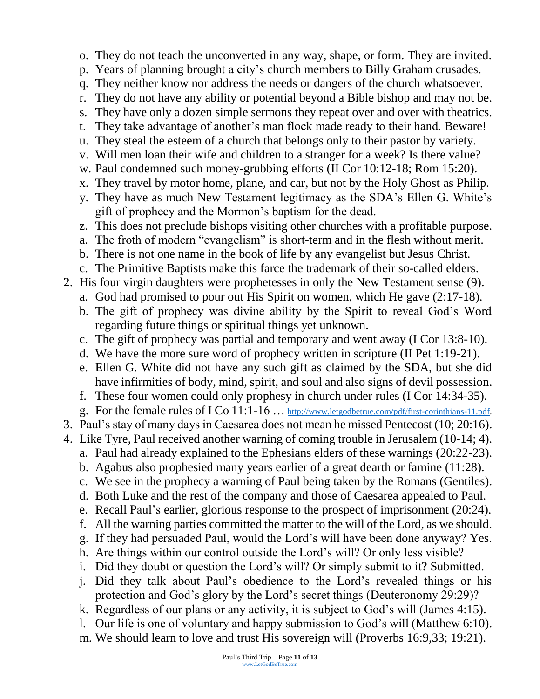- o. They do not teach the unconverted in any way, shape, or form. They are invited.
- p. Years of planning brought a city's church members to Billy Graham crusades.
- q. They neither know nor address the needs or dangers of the church whatsoever.
- r. They do not have any ability or potential beyond a Bible bishop and may not be.
- s. They have only a dozen simple sermons they repeat over and over with theatrics.
- t. They take advantage of another's man flock made ready to their hand. Beware!
- u. They steal the esteem of a church that belongs only to their pastor by variety.
- v. Will men loan their wife and children to a stranger for a week? Is there value?
- w. Paul condemned such money-grubbing efforts (II Cor 10:12-18; Rom 15:20).
- x. They travel by motor home, plane, and car, but not by the Holy Ghost as Philip.
- y. They have as much New Testament legitimacy as the SDA's Ellen G. White's gift of prophecy and the Mormon's baptism for the dead.
- z. This does not preclude bishops visiting other churches with a profitable purpose.
- a. The froth of modern "evangelism" is short-term and in the flesh without merit.
- b. There is not one name in the book of life by any evangelist but Jesus Christ.
- c. The Primitive Baptists make this farce the trademark of their so-called elders.
- 2. His four virgin daughters were prophetesses in only the New Testament sense (9).
	- a. God had promised to pour out His Spirit on women, which He gave (2:17-18).
	- b. The gift of prophecy was divine ability by the Spirit to reveal God's Word regarding future things or spiritual things yet unknown.
	- c. The gift of prophecy was partial and temporary and went away (I Cor 13:8-10).
	- d. We have the more sure word of prophecy written in scripture (II Pet 1:19-21).
	- e. Ellen G. White did not have any such gift as claimed by the SDA, but she did have infirmities of body, mind, spirit, and soul and also signs of devil possession.
	- f. These four women could only prophesy in church under rules (I Cor 14:34-35).
	- g. For the female rules of I Co 11:1-16 … [http://www.letgodbetrue.com/pdf/first-corinthians-11.pdf.](http://www.letgodbetrue.com/pdf/first-corinthians-11.pdf)
- 3. Paul's stay of many days in Caesarea does not mean he missed Pentecost (10; 20:16).
- 4. Like Tyre, Paul received another warning of coming trouble in Jerusalem (10-14; 4).
	- a. Paul had already explained to the Ephesians elders of these warnings (20:22-23).
	- b. Agabus also prophesied many years earlier of a great dearth or famine (11:28).
	- c. We see in the prophecy a warning of Paul being taken by the Romans (Gentiles).
	- d. Both Luke and the rest of the company and those of Caesarea appealed to Paul.
	- e. Recall Paul's earlier, glorious response to the prospect of imprisonment (20:24).
	- f. All the warning parties committed the matter to the will of the Lord, as we should.
	- g. If they had persuaded Paul, would the Lord's will have been done anyway? Yes.
	- h. Are things within our control outside the Lord's will? Or only less visible?
	- i. Did they doubt or question the Lord's will? Or simply submit to it? Submitted.
	- j. Did they talk about Paul's obedience to the Lord's revealed things or his protection and God's glory by the Lord's secret things (Deuteronomy 29:29)?
	- k. Regardless of our plans or any activity, it is subject to God's will (James 4:15).
	- l. Our life is one of voluntary and happy submission to God's will (Matthew 6:10).
	- m. We should learn to love and trust His sovereign will (Proverbs 16:9,33; 19:21).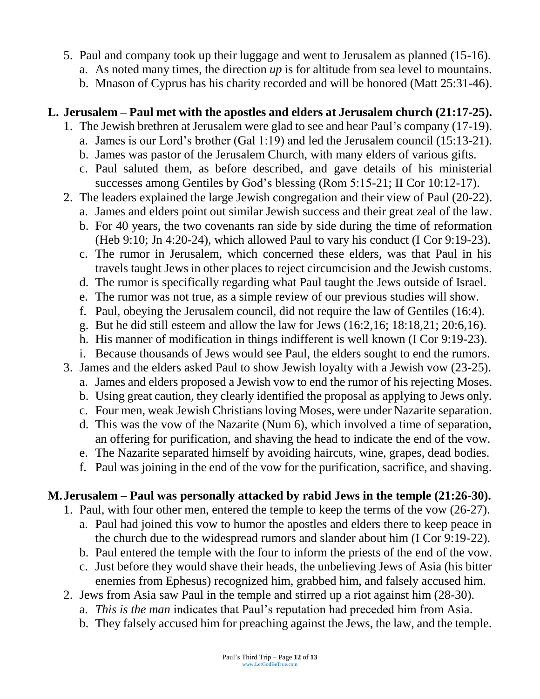- 5. Paul and company took up their luggage and went to Jerusalem as planned (15-16).
	- a. As noted many times, the direction *up* is for altitude from sea level to mountains.
	- b. Mnason of Cyprus has his charity recorded and will be honored (Matt 25:31-46).

#### **L. Jerusalem – Paul met with the apostles and elders at Jerusalem church (21:17-25).**

- 1. The Jewish brethren at Jerusalem were glad to see and hear Paul's company (17-19).
	- a. James is our Lord's brother (Gal 1:19) and led the Jerusalem council (15:13-21).
	- b. James was pastor of the Jerusalem Church, with many elders of various gifts.
	- c. Paul saluted them, as before described, and gave details of his ministerial successes among Gentiles by God's blessing (Rom 5:15-21; II Cor 10:12-17).
- 2. The leaders explained the large Jewish congregation and their view of Paul (20-22).
	- a. James and elders point out similar Jewish success and their great zeal of the law.
	- b. For 40 years, the two covenants ran side by side during the time of reformation (Heb 9:10; Jn 4:20-24), which allowed Paul to vary his conduct (I Cor 9:19-23).
	- c. The rumor in Jerusalem, which concerned these elders, was that Paul in his travels taught Jews in other places to reject circumcision and the Jewish customs.
	- d. The rumor is specifically regarding what Paul taught the Jews outside of Israel.
	- e. The rumor was not true, as a simple review of our previous studies will show.
	- f. Paul, obeying the Jerusalem council, did not require the law of Gentiles (16:4).
	- g. But he did still esteem and allow the law for Jews (16:2,16; 18:18,21; 20:6,16).
	- h. His manner of modification in things indifferent is well known (I Cor 9:19-23).
	- i. Because thousands of Jews would see Paul, the elders sought to end the rumors.
- 3. James and the elders asked Paul to show Jewish loyalty with a Jewish vow (23-25).
	- a. James and elders proposed a Jewish vow to end the rumor of his rejecting Moses.
	- b. Using great caution, they clearly identified the proposal as applying to Jews only.
	- c. Four men, weak Jewish Christians loving Moses, were under Nazarite separation.
	- d. This was the vow of the Nazarite (Num 6), which involved a time of separation, an offering for purification, and shaving the head to indicate the end of the vow.
	- e. The Nazarite separated himself by avoiding haircuts, wine, grapes, dead bodies.
	- f. Paul was joining in the end of the vow for the purification, sacrifice, and shaving.

## **M.Jerusalem – Paul was personally attacked by rabid Jews in the temple (21:26-30).**

- 1. Paul, with four other men, entered the temple to keep the terms of the vow (26-27).
	- a. Paul had joined this vow to humor the apostles and elders there to keep peace in the church due to the widespread rumors and slander about him (I Cor 9:19-22).
	- b. Paul entered the temple with the four to inform the priests of the end of the vow.
	- c. Just before they would shave their heads, the unbelieving Jews of Asia (his bitter enemies from Ephesus) recognized him, grabbed him, and falsely accused him.
- 2. Jews from Asia saw Paul in the temple and stirred up a riot against him (28-30).
	- a. *This is the man* indicates that Paul's reputation had preceded him from Asia.
	- b. They falsely accused him for preaching against the Jews, the law, and the temple.